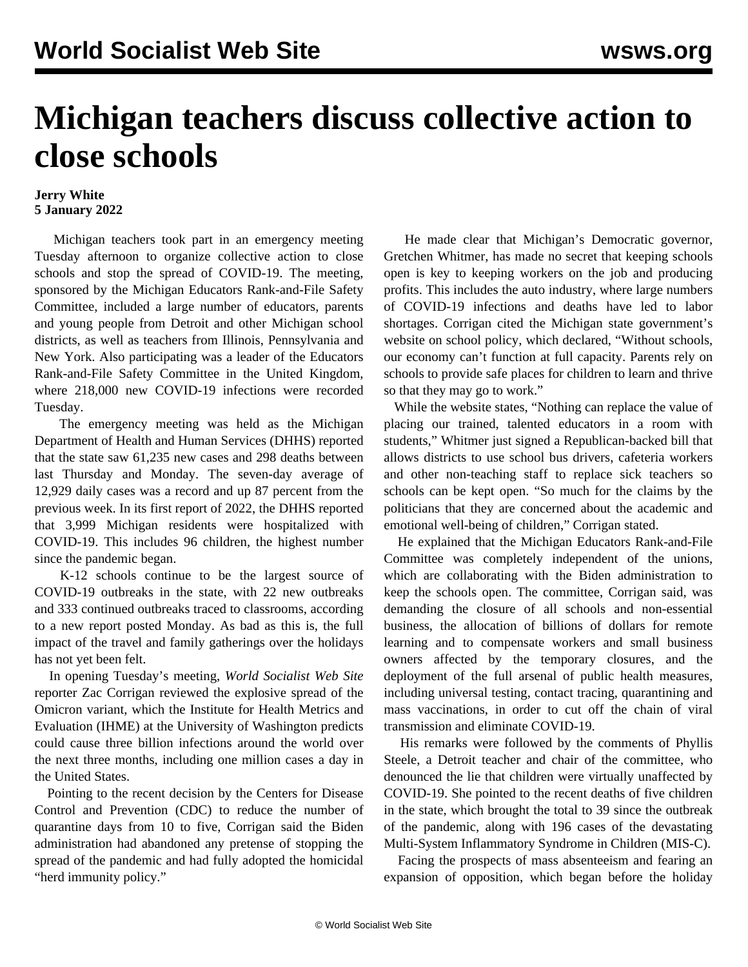## **Michigan teachers discuss collective action to close schools**

## **Jerry White 5 January 2022**

 Michigan teachers took part in an emergency meeting Tuesday afternoon to organize collective action to close schools and stop the spread of COVID-19. The meeting, sponsored by the Michigan Educators Rank-and-File Safety Committee, included a large number of educators, parents and young people from Detroit and other Michigan school districts, as well as teachers from Illinois, Pennsylvania and New York. Also participating was a leader of the Educators Rank-and-File Safety Committee in the United Kingdom, where 218,000 new COVID-19 infections were recorded Tuesday.

 The emergency meeting was held as the Michigan Department of Health and Human Services (DHHS) reported that the state saw 61,235 new cases and 298 deaths between last Thursday and Monday. The seven-day average of 12,929 daily cases was a record and up 87 percent from the previous week. In its first report of 2022, the DHHS reported that 3,999 Michigan residents were hospitalized with COVID-19. This includes 96 children, the highest number since the pandemic began.

 K-12 schools continue to be the largest source of COVID-19 outbreaks in the state, with 22 new outbreaks and 333 continued outbreaks traced to classrooms, according to a new report posted Monday. As bad as this is, the full impact of the travel and family gatherings over the holidays has not yet been felt.

 In opening Tuesday's meeting, *World Socialist Web Site* reporter Zac Corrigan reviewed the explosive spread of the Omicron variant, which the Institute for Health Metrics and Evaluation (IHME) at the University of Washington predicts could cause three billion infections around the world over the next three months, including one million cases a day in the United States.

 Pointing to the recent decision by the Centers for Disease Control and Prevention (CDC) to reduce the number of quarantine days from 10 to five, Corrigan said the Biden administration had abandoned any pretense of stopping the spread of the pandemic and had fully adopted the homicidal "herd immunity policy."

 He made clear that Michigan's Democratic governor, Gretchen Whitmer, has made no secret that keeping schools open is key to keeping workers on the job and producing profits. This includes the auto industry, where large numbers of COVID-19 infections and deaths have led to labor shortages. Corrigan cited the Michigan state government's website on school policy, which declared, "Without schools, our economy can't function at full capacity. Parents rely on schools to provide safe places for children to learn and thrive so that they may go to work."

 While the website states, "Nothing can replace the value of placing our trained, talented educators in a room with students," Whitmer just signed a Republican-backed bill that allows districts to use school bus drivers, cafeteria workers and other non-teaching staff to replace sick teachers so schools can be kept open. "So much for the claims by the politicians that they are concerned about the academic and emotional well-being of children," Corrigan stated.

 He explained that the Michigan Educators Rank-and-File Committee was completely independent of the unions, which are collaborating with the Biden administration to keep the schools open. The committee, Corrigan said, was demanding the closure of all schools and non-essential business, the allocation of billions of dollars for remote learning and to compensate workers and small business owners affected by the temporary closures, and the deployment of the full arsenal of public health measures, including universal testing, contact tracing, quarantining and mass vaccinations, in order to cut off the chain of viral transmission and eliminate COVID-19.

 His remarks were followed by the comments of Phyllis Steele, a Detroit teacher and chair of the committee, who denounced the lie that children were virtually unaffected by COVID-19. She pointed to the recent deaths of five children in the state, which brought the total to 39 since the outbreak of the pandemic, along with 196 cases of the devastating Multi-System Inflammatory Syndrome in Children (MIS-C).

 Facing the prospects of mass absenteeism and fearing an expansion of opposition, which began before the holiday